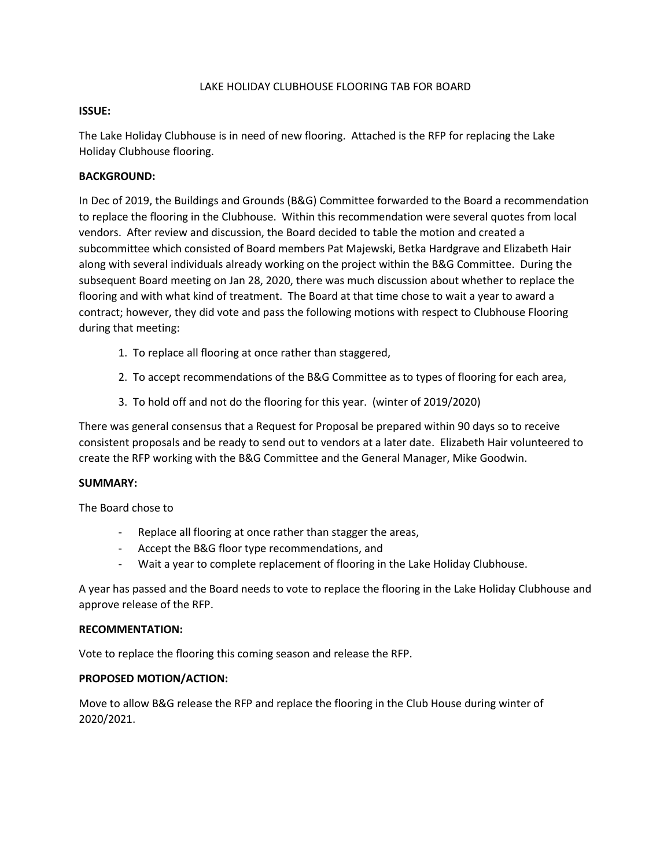#### LAKE HOLIDAY CLUBHOUSE FLOORING TAB FOR BOARD

#### **ISSUE:**

The Lake Holiday Clubhouse is in need of new flooring. Attached is the RFP for replacing the Lake Holiday Clubhouse flooring.

#### **BACKGROUND:**

In Dec of 2019, the Buildings and Grounds (B&G) Committee forwarded to the Board a recommendation to replace the flooring in the Clubhouse. Within this recommendation were several quotes from local vendors. After review and discussion, the Board decided to table the motion and created a subcommittee which consisted of Board members Pat Majewski, Betka Hardgrave and Elizabeth Hair along with several individuals already working on the project within the B&G Committee. During the subsequent Board meeting on Jan 28, 2020, there was much discussion about whether to replace the flooring and with what kind of treatment. The Board at that time chose to wait a year to award a contract; however, they did vote and pass the following motions with respect to Clubhouse Flooring during that meeting:

- 1. To replace all flooring at once rather than staggered,
- 2. To accept recommendations of the B&G Committee as to types of flooring for each area,
- 3. To hold off and not do the flooring for this year. (winter of 2019/2020)

There was general consensus that a Request for Proposal be prepared within 90 days so to receive consistent proposals and be ready to send out to vendors at a later date. Elizabeth Hair volunteered to create the RFP working with the B&G Committee and the General Manager, Mike Goodwin.

#### **SUMMARY:**

The Board chose to

- Replace all flooring at once rather than stagger the areas,
- Accept the B&G floor type recommendations, and
- Wait a year to complete replacement of flooring in the Lake Holiday Clubhouse.

A year has passed and the Board needs to vote to replace the flooring in the Lake Holiday Clubhouse and approve release of the RFP.

#### **RECOMMENTATION:**

Vote to replace the flooring this coming season and release the RFP.

#### **PROPOSED MOTION/ACTION:**

Move to allow B&G release the RFP and replace the flooring in the Club House during winter of 2020/2021.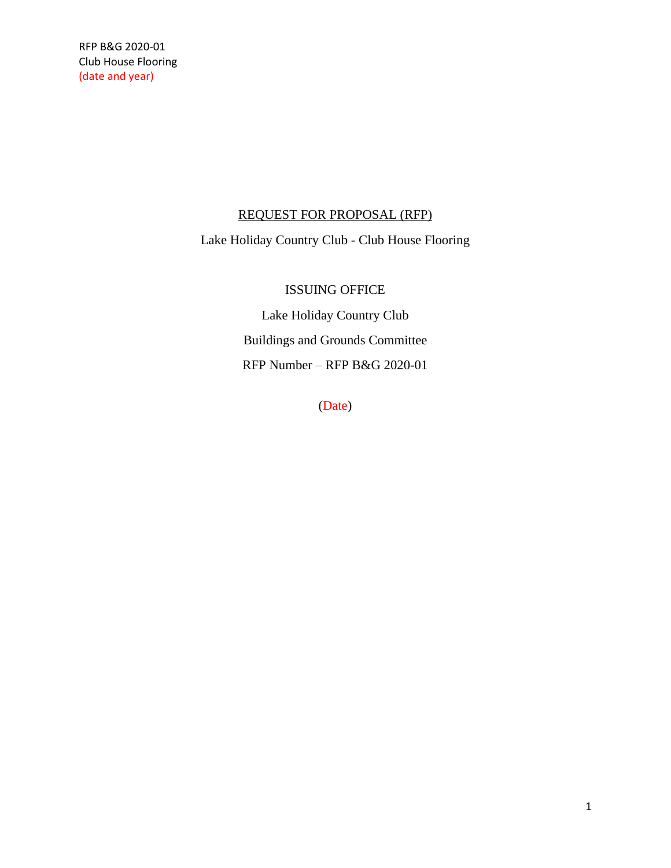## REQUEST FOR PROPOSAL (RFP)

Lake Holiday Country Club - Club House Flooring

## ISSUING OFFICE

Lake Holiday Country Club Buildings and Grounds Committee RFP Number – RFP B&G 2020-01

(Date)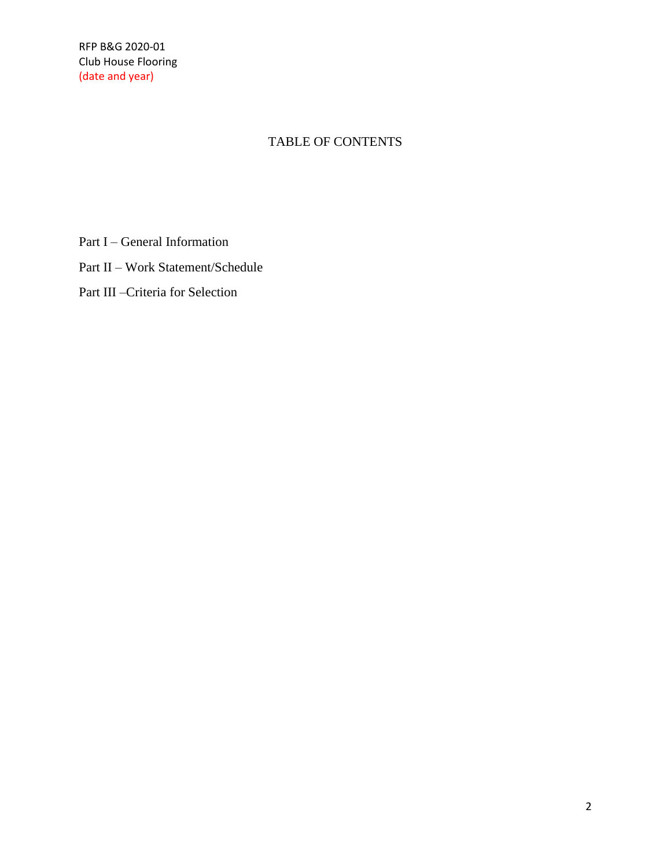# TABLE OF CONTENTS

Part I – General Information

Part II – Work Statement/Schedule

Part III –Criteria for Selection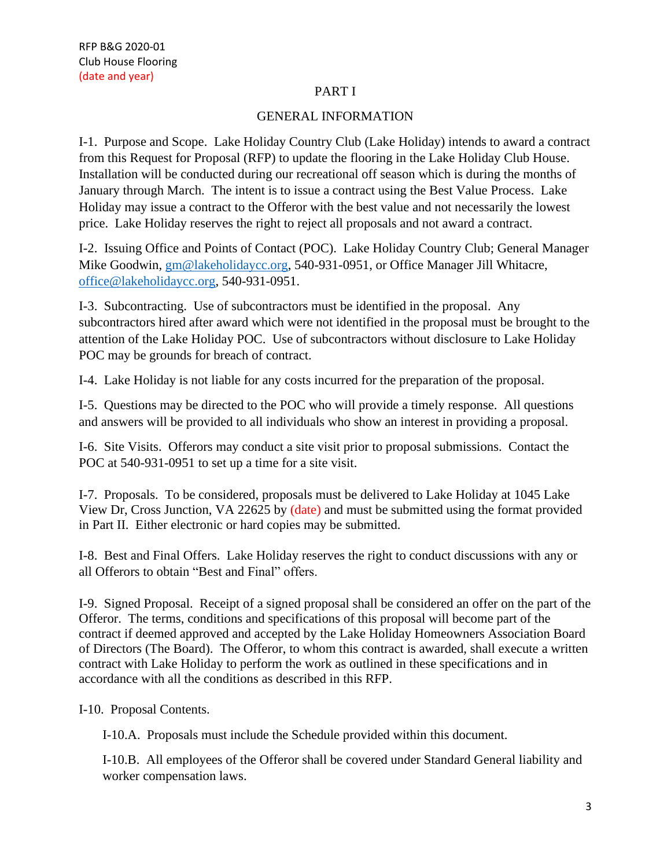## PART I

## GENERAL INFORMATION

I-1. Purpose and Scope. Lake Holiday Country Club (Lake Holiday) intends to award a contract from this Request for Proposal (RFP) to update the flooring in the Lake Holiday Club House. Installation will be conducted during our recreational off season which is during the months of January through March. The intent is to issue a contract using the Best Value Process. Lake Holiday may issue a contract to the Offeror with the best value and not necessarily the lowest price. Lake Holiday reserves the right to reject all proposals and not award a contract.

I-2. Issuing Office and Points of Contact (POC). Lake Holiday Country Club; General Manager Mike Goodwin, [gm@lakeholidaycc.org,](mailto:gm@lakeholidaycc.org) 540-931-0951, or Office Manager Jill Whitacre, [office@lakeholidaycc.org,](mailto:office@lakeholidaycc.org) 540-931-0951.

I-3. Subcontracting. Use of subcontractors must be identified in the proposal. Any subcontractors hired after award which were not identified in the proposal must be brought to the attention of the Lake Holiday POC. Use of subcontractors without disclosure to Lake Holiday POC may be grounds for breach of contract.

I-4. Lake Holiday is not liable for any costs incurred for the preparation of the proposal.

I-5. Questions may be directed to the POC who will provide a timely response. All questions and answers will be provided to all individuals who show an interest in providing a proposal.

I-6. Site Visits. Offerors may conduct a site visit prior to proposal submissions. Contact the POC at 540-931-0951 to set up a time for a site visit.

I-7. Proposals. To be considered, proposals must be delivered to Lake Holiday at 1045 Lake View Dr, Cross Junction, VA 22625 by (date) and must be submitted using the format provided in Part II. Either electronic or hard copies may be submitted.

I-8. Best and Final Offers. Lake Holiday reserves the right to conduct discussions with any or all Offerors to obtain "Best and Final" offers.

I-9. Signed Proposal. Receipt of a signed proposal shall be considered an offer on the part of the Offeror. The terms, conditions and specifications of this proposal will become part of the contract if deemed approved and accepted by the Lake Holiday Homeowners Association Board of Directors (The Board). The Offeror, to whom this contract is awarded, shall execute a written contract with Lake Holiday to perform the work as outlined in these specifications and in accordance with all the conditions as described in this RFP.

I-10. Proposal Contents.

I-10.A. Proposals must include the Schedule provided within this document.

I-10.B. All employees of the Offeror shall be covered under Standard General liability and worker compensation laws.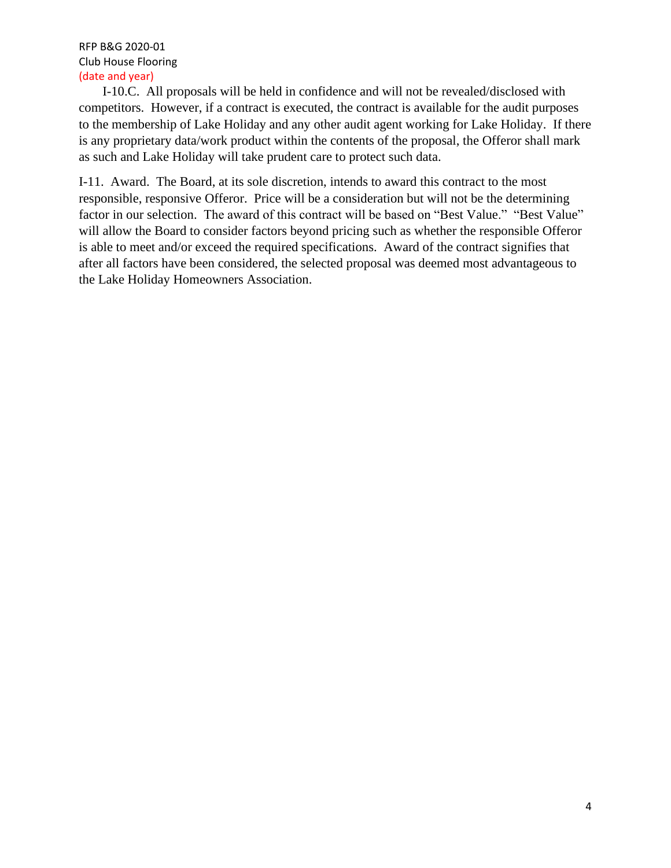I-10.C. All proposals will be held in confidence and will not be revealed/disclosed with competitors. However, if a contract is executed, the contract is available for the audit purposes to the membership of Lake Holiday and any other audit agent working for Lake Holiday. If there is any proprietary data/work product within the contents of the proposal, the Offeror shall mark as such and Lake Holiday will take prudent care to protect such data.

I-11. Award. The Board, at its sole discretion, intends to award this contract to the most responsible, responsive Offeror. Price will be a consideration but will not be the determining factor in our selection. The award of this contract will be based on "Best Value." "Best Value" will allow the Board to consider factors beyond pricing such as whether the responsible Offeror is able to meet and/or exceed the required specifications. Award of the contract signifies that after all factors have been considered, the selected proposal was deemed most advantageous to the Lake Holiday Homeowners Association.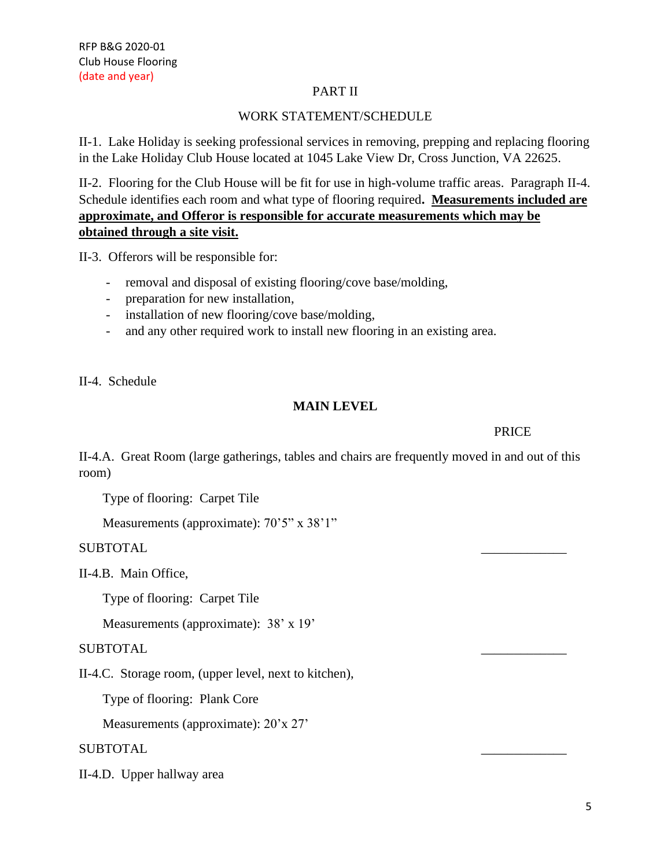### PART II

### WORK STATEMENT/SCHEDULE

II-1. Lake Holiday is seeking professional services in removing, prepping and replacing flooring in the Lake Holiday Club House located at 1045 Lake View Dr, Cross Junction, VA 22625.

II-2. Flooring for the Club House will be fit for use in high-volume traffic areas. Paragraph II-4. Schedule identifies each room and what type of flooring required**. Measurements included are approximate, and Offeror is responsible for accurate measurements which may be obtained through a site visit.** 

II-3. Offerors will be responsible for:

- removal and disposal of existing flooring/cove base/molding,
- preparation for new installation,
- installation of new flooring/cove base/molding,
- and any other required work to install new flooring in an existing area.

II-4. Schedule

### **MAIN LEVEL**

**PRICE** 

II-4.A. Great Room (large gatherings, tables and chairs are frequently moved in and out of this room)

Type of flooring: Carpet Tile

Measurements (approximate): 70'5" x 38'1"

SUBTOTAL \_\_\_\_\_\_\_\_\_\_\_\_\_

II-4.B. Main Office,

Type of flooring: Carpet Tile

Measurements (approximate):  $38' \times 19'$ 

#### SUBTOTAL

II-4.C. Storage room, (upper level, next to kitchen),

Type of flooring: Plank Core

Measurements (approximate): 20'x 27'

SUBTOTAL \_\_\_\_\_\_\_\_\_\_\_\_\_

II-4.D. Upper hallway area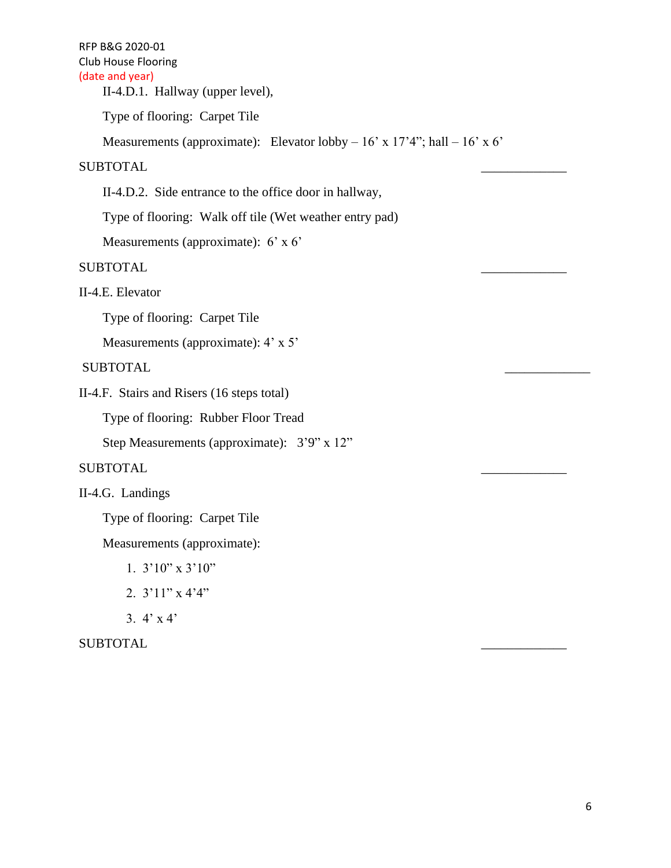II-4.D.1. Hallway (upper level),

Type of flooring: Carpet Tile

Measurements (approximate): Elevator lobby  $-16'$  x  $17'4"$ ; hall  $-16'$  x  $6'$ 

### SUBTOTAL \_\_\_\_\_\_\_\_\_\_\_\_\_

II-4.D.2. Side entrance to the office door in hallway,

Type of flooring: Walk off tile (Wet weather entry pad)

Measurements (approximate): 6' x 6'

## SUBTOTAL \_\_\_\_\_\_\_\_\_\_\_\_\_

II-4.E. Elevator

Type of flooring: Carpet Tile

Measurements (approximate): 4' x 5'

SUBTOTAL \_\_\_\_\_\_\_\_\_\_\_\_\_

II-4.F. Stairs and Risers (16 steps total)

Type of flooring: Rubber Floor Tread

Step Measurements (approximate): 3'9" x 12"

## SUBTOTAL \_\_\_\_\_\_\_\_\_\_\_\_\_

II-4.G. Landings

Type of flooring: Carpet Tile

Measurements (approximate):

- 1. 3'10" x 3'10"
- 2. 3'11" x 4'4"
- 3.  $4' \times 4'$

SUBTOTAL \_\_\_\_\_\_\_\_\_\_\_\_\_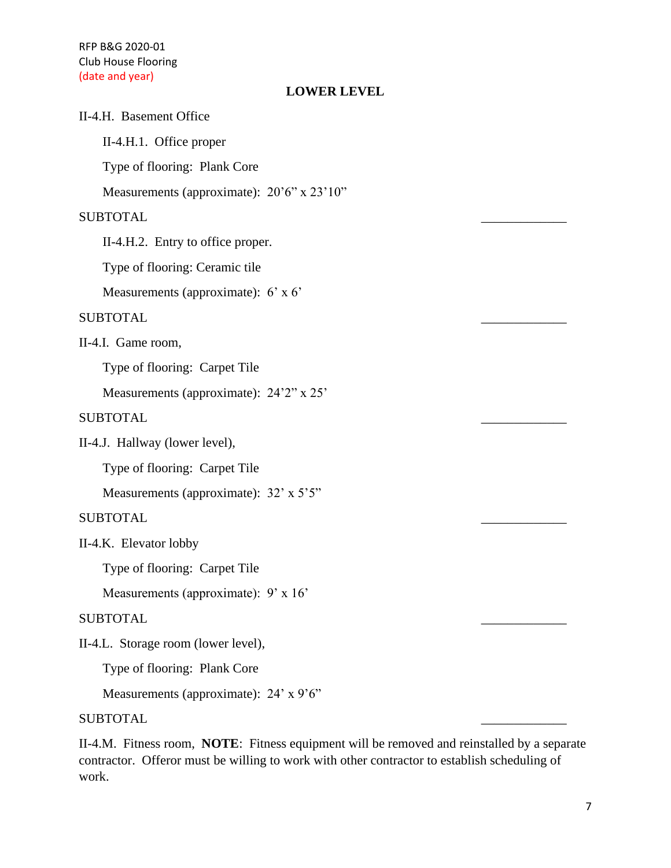# **LOWER LEVEL**

| LOWER LEVEL                                              |  |
|----------------------------------------------------------|--|
| II-4.H. Basement Office                                  |  |
| II-4.H.1. Office proper                                  |  |
| Type of flooring: Plank Core                             |  |
| Measurements (approximate): $20^{\circ}6" \times 23'10"$ |  |
| <b>SUBTOTAL</b>                                          |  |
| II-4.H.2. Entry to office proper.                        |  |
| Type of flooring: Ceramic tile                           |  |
| Measurements (approximate): $6' \times 6'$               |  |
| <b>SUBTOTAL</b>                                          |  |
| II-4.I. Game room,                                       |  |
| Type of flooring: Carpet Tile                            |  |
| Measurements (approximate): 24'2" x 25'                  |  |
| <b>SUBTOTAL</b>                                          |  |
| II-4.J. Hallway (lower level),                           |  |
| Type of flooring: Carpet Tile                            |  |
| Measurements (approximate): 32' x 5'5"                   |  |
| <b>SUBTOTAL</b>                                          |  |
| II-4.K. Elevator lobby                                   |  |
| Type of flooring: Carpet Tile                            |  |
| Measurements (approximate): 9' x 16'                     |  |
| <b>SUBTOTAL</b>                                          |  |
| II-4.L. Storage room (lower level),                      |  |
| Type of flooring: Plank Core                             |  |
| Measurements (approximate): 24' x 9'6"                   |  |
| <b>SUBTOTAL</b>                                          |  |
|                                                          |  |

II-4.M. Fitness room, **NOTE**: Fitness equipment will be removed and reinstalled by a separate contractor. Offeror must be willing to work with other contractor to establish scheduling of work.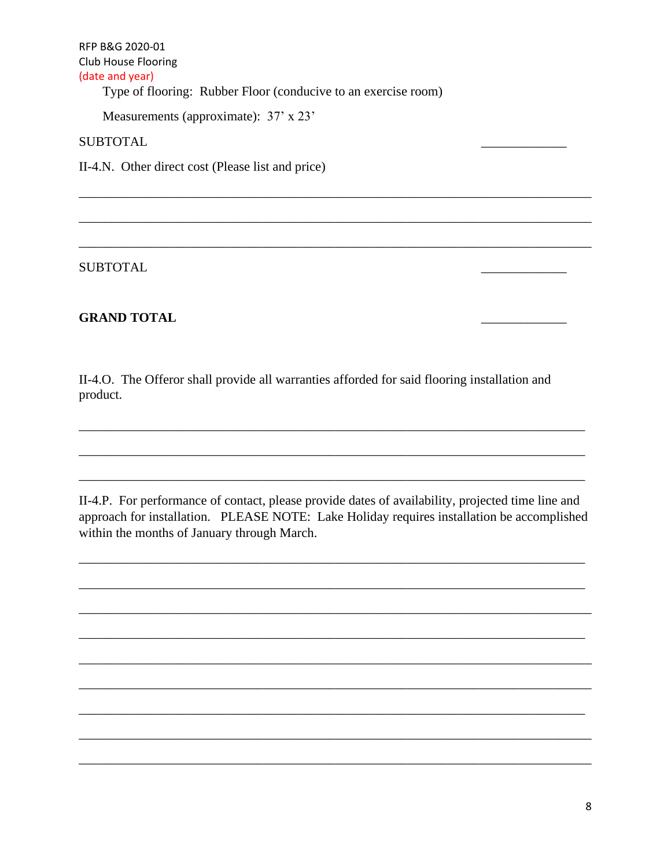Type of flooring: Rubber Floor (conducive to an exercise room)

Measurements (approximate): 37' x 23'

**SUBTOTAL** 

II-4.N. Other direct cost (Please list and price)

**SUBTOTAL** 

## **GRAND TOTAL**

II-4.O. The Offeror shall provide all warranties afforded for said flooring installation and product.

II-4.P. For performance of contact, please provide dates of availability, projected time line and approach for installation. PLEASE NOTE: Lake Holiday requires installation be accomplished within the months of January through March.

,我们也不会有什么。""我们的人,我们也不会有什么?""我们的人,我们也不会有什么?""我们的人,我们的人,我们也不会有什么?""我们的人,我们的人,我们的人,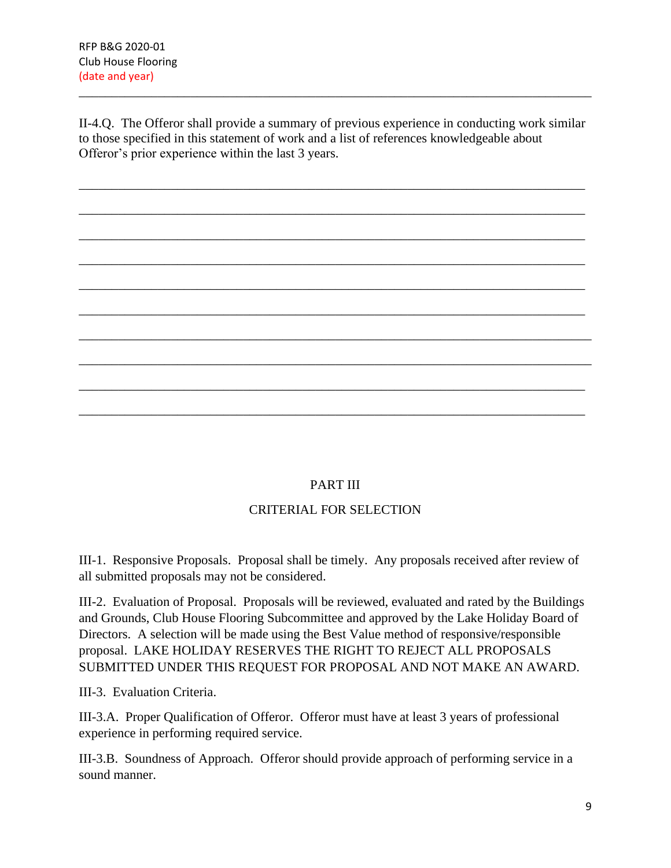II-4.Q. The Offeror shall provide a summary of previous experience in conducting work similar to those specified in this statement of work and a list of references knowledgeable about Offeror's prior experience within the last 3 years.

\_\_\_\_\_\_\_\_\_\_\_\_\_\_\_\_\_\_\_\_\_\_\_\_\_\_\_\_\_\_\_\_\_\_\_\_\_\_\_\_\_\_\_\_\_\_\_\_\_\_\_\_\_\_\_\_\_\_\_\_\_\_\_\_\_\_\_\_\_\_\_\_\_\_\_\_\_

\_\_\_\_\_\_\_\_\_\_\_\_\_\_\_\_\_\_\_\_\_\_\_\_\_\_\_\_\_\_\_\_\_\_\_\_\_\_\_\_\_\_\_\_\_\_\_\_\_\_\_\_\_\_\_\_\_\_\_\_\_\_\_\_\_\_\_\_\_\_\_\_\_\_\_\_\_

\_\_\_\_\_\_\_\_\_\_\_\_\_\_\_\_\_\_\_\_\_\_\_\_\_\_\_\_\_\_\_\_\_\_\_\_\_\_\_\_\_\_\_\_\_\_\_\_\_\_\_\_\_\_\_\_\_\_\_\_\_\_\_\_\_\_\_\_\_\_\_\_\_\_\_\_\_

\_\_\_\_\_\_\_\_\_\_\_\_\_\_\_\_\_\_\_\_\_\_\_\_\_\_\_\_\_\_\_\_\_\_\_\_\_\_\_\_\_\_\_\_\_\_\_\_\_\_\_\_\_\_\_\_\_\_\_\_\_\_\_\_\_\_\_\_\_\_\_\_\_\_\_\_\_

\_\_\_\_\_\_\_\_\_\_\_\_\_\_\_\_\_\_\_\_\_\_\_\_\_\_\_\_\_\_\_\_\_\_\_\_\_\_\_\_\_\_\_\_\_\_\_\_\_\_\_\_\_\_\_\_\_\_\_\_\_\_\_\_\_\_\_\_\_\_\_\_\_\_\_\_\_

\_\_\_\_\_\_\_\_\_\_\_\_\_\_\_\_\_\_\_\_\_\_\_\_\_\_\_\_\_\_\_\_\_\_\_\_\_\_\_\_\_\_\_\_\_\_\_\_\_\_\_\_\_\_\_\_\_\_\_\_\_\_\_\_\_\_\_\_\_\_\_\_\_\_\_\_\_

\_\_\_\_\_\_\_\_\_\_\_\_\_\_\_\_\_\_\_\_\_\_\_\_\_\_\_\_\_\_\_\_\_\_\_\_\_\_\_\_\_\_\_\_\_\_\_\_\_\_\_\_\_\_\_\_\_\_\_\_\_\_\_\_\_\_\_\_\_\_\_\_\_\_\_\_\_\_

\_\_\_\_\_\_\_\_\_\_\_\_\_\_\_\_\_\_\_\_\_\_\_\_\_\_\_\_\_\_\_\_\_\_\_\_\_\_\_\_\_\_\_\_\_\_\_\_\_\_\_\_\_\_\_\_\_\_\_\_\_\_\_\_\_\_\_\_\_\_\_\_\_\_\_\_\_\_

\_\_\_\_\_\_\_\_\_\_\_\_\_\_\_\_\_\_\_\_\_\_\_\_\_\_\_\_\_\_\_\_\_\_\_\_\_\_\_\_\_\_\_\_\_\_\_\_\_\_\_\_\_\_\_\_\_\_\_\_\_\_\_\_\_\_\_\_\_\_\_\_\_\_\_\_\_

\_\_\_\_\_\_\_\_\_\_\_\_\_\_\_\_\_\_\_\_\_\_\_\_\_\_\_\_\_\_\_\_\_\_\_\_\_\_\_\_\_\_\_\_\_\_\_\_\_\_\_\_\_\_\_\_\_\_\_\_\_\_\_\_\_\_\_\_\_\_\_\_\_\_\_\_\_

\_\_\_\_\_\_\_\_\_\_\_\_\_\_\_\_\_\_\_\_\_\_\_\_\_\_\_\_\_\_\_\_\_\_\_\_\_\_\_\_\_\_\_\_\_\_\_\_\_\_\_\_\_\_\_\_\_\_\_\_\_\_\_\_\_\_\_\_\_\_\_\_\_\_\_\_\_\_

## PART III

## CRITERIAL FOR SELECTION

III-1. Responsive Proposals. Proposal shall be timely. Any proposals received after review of all submitted proposals may not be considered.

III-2. Evaluation of Proposal. Proposals will be reviewed, evaluated and rated by the Buildings and Grounds, Club House Flooring Subcommittee and approved by the Lake Holiday Board of Directors. A selection will be made using the Best Value method of responsive/responsible proposal. LAKE HOLIDAY RESERVES THE RIGHT TO REJECT ALL PROPOSALS SUBMITTED UNDER THIS REQUEST FOR PROPOSAL AND NOT MAKE AN AWARD.

III-3. Evaluation Criteria.

III-3.A. Proper Qualification of Offeror. Offeror must have at least 3 years of professional experience in performing required service.

III-3.B. Soundness of Approach. Offeror should provide approach of performing service in a sound manner.